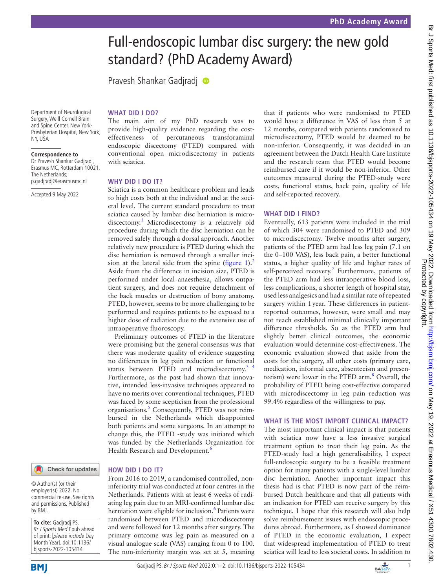# Full-endoscopic lumbar disc surgery: the new gold standard? (PhD Academy Award)

Pravesh Shankar Gadjradj <sup>®</sup>

Department of Neurological Surgery, Weill Cornell Brain and Spine Center, New York-Presbyterian Hospital, New York, NY, USA

#### **Correspondence to**

Dr Pravesh Shankar Gadjradj, Erasmus MC, Rotterdam 10021, The Netherlands; p.gadjradj@erasmusmc.nl

Accepted 9 May 2022

# **WHAT DID I DO?**

The main aim of my PhD research was to provide high-quality evidence regarding the costeffectiveness of percutaneous transforaminal endoscopic discectomy (PTED) compared with conventional open microdiscectomy in patients with sciatica.

### **WHY DID I DO IT?**

Sciatica is a common healthcare problem and leads to high costs both at the individual and at the societal level. The current standard procedure to treat sciatica caused by lumbar disc herniation is micro-discectomy.<sup>[1](#page-1-0)</sup> Microdiscectomy is a relatively old procedure during which the disc herniation can be removed safely through a dorsal approach. Another relatively new procedure is PTED during which the disc herniation is removed through a smaller inci-sion at the lateral side from the spine [\(figure](#page-1-1)  $1$ ).<sup>[2](#page-1-2)</sup> Aside from the difference in incision size, PTED is performed under local anaesthesia, allows outpatient surgery, and does not require detachment of the back muscles or destruction of bony anatomy. PTED, however, seems to be more challenging to be performed and requires patients to be exposed to a higher dose of radiation due to the extensive use of intraoperative fluoroscopy.

Preliminary outcomes of PTED in the literature were promising but the general consensus was that there was moderate quality of evidence suggesting no differences in leg pain reduction or functional status between PTED and microdiscectomy.<sup>3</sup> <sup>4</sup> Furthermore, as the past had shown that innovative, intended less-invasive techniques appeared to have no merits over conventional techniques, PTED was faced by some scepticism from the professional organisations.<sup>[5](#page-1-4)</sup> Consequently, PTED was not reimbursed in the Netherlands which disappointed both patients and some surgeons. In an attempt to change this, the PTED -study was initiated which was funded by the Netherlands Organization for Health Research and Development.<sup>[6](#page-1-5)</sup>

Check for updates

#### © Author(s) (or their employer(s)) 2022. No commercial re-use. See rights and permissions. Published by BMJ.

**To cite:** Gadjradj PS. Br J Sports Med Epub ahead of print: [please include Day Month Year]. doi:10.1136/ bjsports-2022-105434





## **HOW DID I DO IT?**

From 2016 to 2019, a randomised controlled, noninferiority trial was conducted at four centres in the Netherlands. Patients with at least 6 weeks of radiating leg pain due to an MRI-confirmed lumbar disc herniation were eligible for inclusion.<sup>[6](#page-1-5)</sup> Patients were randomised between PTED and microdiscectomy and were followed for 12 months after surgery. The primary outcome was leg pain as measured on a visual analogue scale (VAS) ranging from 0 to 100. The non-inferiority margin was set at 5, meaning

that if patients who were randomised to PTED would have a difference in VAS of less than 5 at 12 months, compared with patients randomised to microdiscectomy, PTED would be deemed to be non-inferior. Consequently, it was decided in an agreement between the Dutch Health Care Institute and the research team that PTED would become reimbursed care if it would be non-inferior. Other outcomes measured during the PTED-study were costs, functional status, back pain, quality of life and self-reported recovery.

### **WHAT DID I FIND?**

Eventually, 613 patients were included in the trial of which 304 were randomised to PTED and 309 to microdiscectomy. Twelve months after surgery, patients of the PTED arm had less leg pain (7.1 on the 0–100 VAS), less back pain, a better functional status, a higher quality of life and higher rates of self-perceived recovery.<sup>7</sup> Furthermore, patients of the PTED arm had less intraoperative blood loss, less complications, a shorter length of hospital stay, used less analgesics and had a similar rate of repeated surgery within 1year. These differences in patientreported outcomes, however, were small and may not reach established minimal clinically important difference thresholds. So as the PTED arm had slightly better clinical outcomes, the economic evaluation would determine cost-effectiveness. The economic evaluation showed that aside from the costs for the surgery, all other costs (primary care, medication, informal care, absenteeism and presenteeism) were lower in the PTED arm.<sup>8</sup> Overall, the probability of PTED being cost-effective compared with microdiscectomy in leg pain reduction was 99.4% regardless of the willingness to pay.

#### **WHAT IS THE MOST IMPORT CLINICAL IMPACT?**

The most important clinical impact is that patients with sciatica now have a less invasive surgical treatment option to treat their leg pain. As the PTED-study had a high generalisability, I expect full-endoscopic surgery to be a feasible treatment option for many patients with a single-level lumbar disc herniation. Another important impact this thesis had is that PTED is now part of the reimbursed Dutch healthcare and that all patients with an indication for PTED can receive surgery by this technique. I hope that this research will also help solve reimbursement issues with endoscopic procedures abroad. Furthermore, as I showed dominance of PTED in the economic evaluation, I expect that widespread implementation of PTED to treat sciatica will lead to less societal costs. In addition to